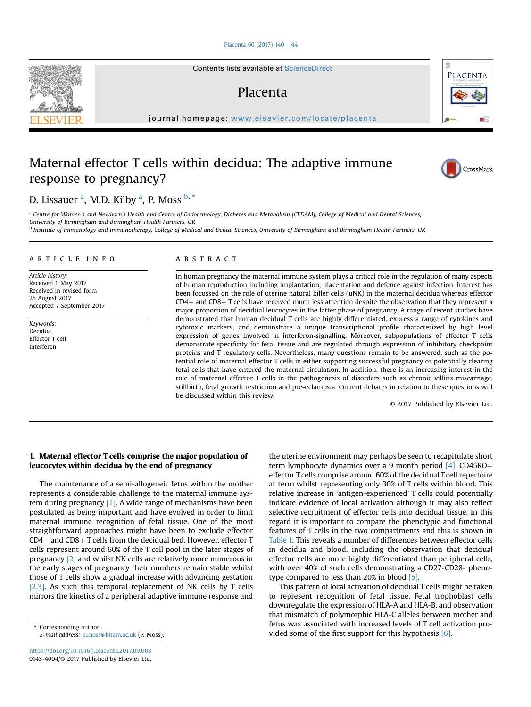#### [Placenta 60 \(2017\) 140](https://doi.org/10.1016/j.placenta.2017.09.003)-[144](https://doi.org/10.1016/j.placenta.2017.09.003)

Contents lists available at ScienceDirect

## Placenta

journal homepage: [www.elsevier.com/locate/placenta](http://www.elsevier.com/locate/placenta)

# Maternal effector T cells within decidua: The adaptive immune response to pregnancy?

D. Lissauer <sup>a</sup>, M.D. Kilby <sup>a</sup>, P. Moss <sup>b, \*</sup>

a Centre for Women's and Newborn's Health and Centre of Endocrinology, Diabetes and Metabolism [CEDAM], College of Medical and Dental Sciences, University of Birmingham and Birmingham Health Partners, UK <sup>b</sup> Institute of Immunology and Immunotherapy, College of Medical and Dental Sciences, University of Birmingham and Birmingham Health Partners, UK

#### article info

Article history: Received 1 May 2017 Received in revised form 25 August 2017 Accepted 7 September 2017

Keywords: Decidua Effector T cell Interferon

#### **ABSTRACT**

In human pregnancy the maternal immune system plays a critical role in the regulation of many aspects of human reproduction including implantation, placentation and defence against infection. Interest has been focussed on the role of uterine natural killer cells (uNK) in the maternal decidua whereas effector  $CD4+$  and  $CD8+T$  cells have received much less attention despite the observation that they represent a major proportion of decidual leucocytes in the latter phase of pregnancy. A range of recent studies have demonstrated that human decidual T cells are highly differentiated, express a range of cytokines and cytotoxic markers, and demonstrate a unique transcriptional profile characterized by high level expression of genes involved in interferon-signalling. Moreover, subpopulations of effector T cells demonstrate specificity for fetal tissue and are regulated through expression of inhibitory checkpoint proteins and T regulatory cells. Nevertheless, many questions remain to be answered, such as the potential role of maternal effector T cells in either supporting successful pregnancy or potentially clearing fetal cells that have entered the maternal circulation. In addition, there is an increasing interest in the role of maternal effector T cells in the pathogenesis of disorders such as chronic villitis miscarriage, stillbirth, fetal growth restriction and pre-eclampsia. Current debates in relation to these questions will be discussed within this review.

© 2017 Published by Elsevier Ltd.

## 1. Maternal effector T cells comprise the major population of leucocytes within decidua by the end of pregnancy

The maintenance of a semi-allogeneic fetus within the mother represents a considerable challenge to the maternal immune system during pregnancy [\[1\].](#page-3-0) A wide range of mechanisms have been postulated as being important and have evolved in order to limit maternal immune recognition of fetal tissue. One of the most straightforward approaches might have been to exclude effector  $CD4+$  and  $CD8+$  T cells from the decidual bed. However, effector T cells represent around 60% of the T cell pool in the later stages of pregnancy [\[2\]](#page-3-0) and whilst NK cells are relatively more numerous in the early stages of pregnancy their numbers remain stable whilst those of T cells show a gradual increase with advancing gestation [\[2,3\]](#page-3-0). As such this temporal replacement of NK cells by T cells mirrors the kinetics of a peripheral adaptive immune response and

E-mail address: [p.moss@bham.ac.uk](mailto:p.moss@bham.ac.uk) (P. Moss).

the uterine environment may perhaps be seen to recapitulate short term lymphocyte dynamics over a 9 month period  $[4]$ . CD45RO+ effector T cells comprise around 60% of the decidual T cell repertoire at term whilst representing only 30% of T cells within blood. This relative increase in 'antigen-experienced' T cells could potentially indicate evidence of local activation although it may also reflect selective recruitment of effector cells into decidual tissue. In this regard it is important to compare the phenotypic and functional features of T cells in the two compartments and this is shown in [Table 1.](#page-1-0) This reveals a number of differences between effector cells in decidua and blood, including the observation that decidual effector cells are more highly differentiated than peripheral cells, with over 40% of such cells demonstrating a CD27-CD28- pheno-type compared to less than 20% in blood [\[5\].](#page-3-0)

This pattern of local activation of decidual T cells might be taken to represent recognition of fetal tissue. Fetal trophoblast cells downregulate the expression of HLA-A and HLA-B, and observation that mismatch of polymorphic HLA-C alleles between mother and fetus was associated with increased levels of T cell activation pro-vided some of the first support for this hypothesis [\[6\].](#page-3-0)<br>Vided some of the first support for this hypothesis [6].<br>Vided some of the first support for this hypothesis [6].





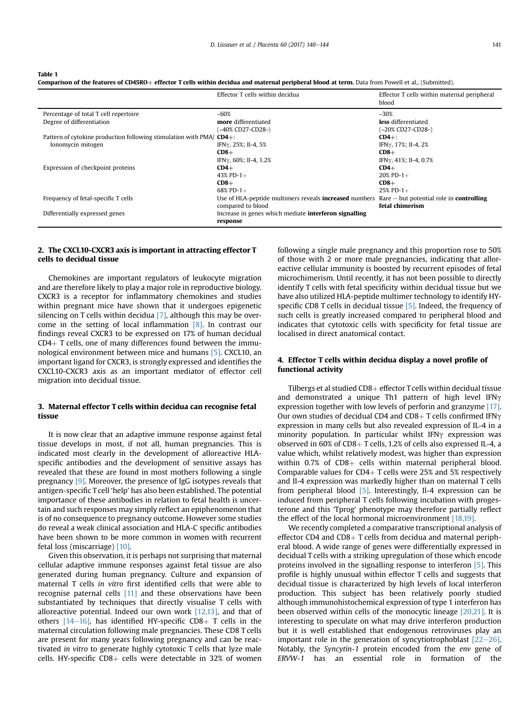Comparison of the features of CD45RO+ effector T cells within decidua and maternal peripheral blood at term. Data from Powell et al., (Submitted).

<span id="page-1-0"></span>Table 1

|                                                                        | Effector T cells within decidual                                                                                            | Effector T cells within maternal peripheral<br>blood |
|------------------------------------------------------------------------|-----------------------------------------------------------------------------------------------------------------------------|------------------------------------------------------|
| Percentage of total T cell repertoire                                  | $-60%$                                                                                                                      | $~230\%$                                             |
| Degree of differentiation                                              | more differentiated                                                                                                         | less differentiated                                  |
|                                                                        | (~40% CD27-CD28-)                                                                                                           | (~20% CD27-CD28-)                                    |
| Pattern of cytokine production following stimulation with $PMA/CD4+$ : |                                                                                                                             | $CD4+$ :                                             |
| Ionomycin mitogen                                                      | IFNγ, 25%; II-4, 5%                                                                                                         | IFNγ, 17%; II-4, 2%                                  |
|                                                                        | $CD8+$                                                                                                                      | $CD8+$                                               |
|                                                                        | IFN $\gamma$ , 60%; Il-4, 1.2%                                                                                              | IFNγ, 41%; Il-4, 0.7%                                |
| Expression of checkpoint proteins                                      | $CD4+$                                                                                                                      | $CD4+$                                               |
|                                                                        | 43% PD-1+                                                                                                                   | $20\%$ PD-1+                                         |
|                                                                        | $CD8+$                                                                                                                      | $CD8+$                                               |
|                                                                        | 68% PD-1+                                                                                                                   | $25\%$ PD-1+                                         |
| Frequency of fetal-specific T cells                                    | Use of HLA-peptide multimers reveals <b>increased</b> numbers $\mathbb{R}$ are $-$ but potential role in <b>controlling</b> |                                                      |
|                                                                        | compared to blood                                                                                                           | fetal chimerism                                      |
| Differentially expressed genes                                         | Increase in genes which mediate <b>interferon signalling</b>                                                                |                                                      |
|                                                                        | response                                                                                                                    |                                                      |

## 2. The CXCL10-CXCR3 axis is important in attracting effector T cells to decidual tissue

Chemokines are important regulators of leukocyte migration and are therefore likely to play a major role in reproductive biology. CXCR3 is a receptor for inflammatory chemokines and studies within pregnant mice have shown that it undergoes epigenetic silencing on T cells within decidua  $[7]$ , although this may be overcome in the setting of local inflammation [\[8\].](#page-3-0) In contrast our findings reveal CXCR3 to be expressed on 17% of human decidual  $CD4+T$  cells, one of many differences found between the immunological environment between mice and humans [\[5\]](#page-3-0). CXCL10, an important ligand for CXCR3, is strongly expressed and identifies the CXCL10-CXCR3 axis as an important mediator of effector cell migration into decidual tissue.

## 3. Maternal effector T cells within decidua can recognise fetal tissue

It is now clear that an adaptive immune response against fetal tissue develops in most, if not all, human pregnancies. This is indicated most clearly in the development of alloreactive HLAspecific antibodies and the development of sensitive assays has revealed that these are found in most mothers following a single pregnancy [\[9\]](#page-3-0). Moreover, the presence of IgG isotypes reveals that antigen-specific T cell 'help' has also been established. The potential importance of these antibodies in relation to fetal health is uncertain and such responses may simply reflect an epiphenomenon that is of no consequence to pregnancy outcome. However some studies do reveal a weak clinical association and HLA-C specific antibodies have been shown to be more common in women with recurrent fetal loss (miscarriage) [\[10\].](#page-3-0)

Given this observation, it is perhaps not surprising that maternal cellular adaptive immune responses against fetal tissue are also generated during human pregnancy. Culture and expansion of maternal T cells in vitro first identified cells that were able to recognise paternal cells [\[11\]](#page-3-0) and these observations have been substantiated by techniques that directly visualise T cells with alloreactive potential. Indeed our own work  $[12,13]$ , and that of others  $[14-16]$  $[14-16]$ , has identified HY-specific CD8+ T cells in the maternal circulation following male pregnancies. These CD8 T cells are present for many years following pregnancy and can be reactivated in vitro to generate highly cytotoxic T cells that lyze male cells. HY-specific  $CD8+$  cells were detectable in 32% of women

following a single male pregnancy and this proportion rose to 50% of those with 2 or more male pregnancies, indicating that alloreactive cellular immunity is boosted by recurrent episodes of fetal microchimerism. Until recently, it has not been possible to directly identify T cells with fetal specificity within decidual tissue but we have also utilized HLA-peptide multimer technology to identify HY-specific CD8 T cells in decidual tissue [\[5\].](#page-3-0) Indeed, the frequency of such cells is greatly increased compared to peripheral blood and indicates that cytotoxic cells with specificity for fetal tissue are localised in direct anatomical contact.

## 4. Effector T cells within decidua display a novel profile of functional activity

Tilbergs et al studied  $CD8+$  effector T cells within decidual tissue and demonstrated a unique Th1 pattern of high level IFN $\gamma$ expression together with low levels of perforin and granzyme [\[17\].](#page-4-0) Our own studies of decidual CD4 and CD8+ T cells confirmed IFN $\gamma$ expression in many cells but also revealed expression of IL-4 in a minority population. In particular whilst IFN $\gamma$  expression was observed in  $60\%$  of CD8+ T cells, 1.2% of cells also expressed IL-4, a value which, whilst relatively modest, was higher than expression within  $0.7\%$  of CD8+ cells within maternal peripheral blood. Comparable values for CD4+ T cells were 25% and 5% respectively and Il-4 expression was markedly higher than on maternal T cells from peripheral blood [\[5\].](#page-3-0) Interestingly, Il-4 expression can be induced from peripheral T cells following incubation with progesterone and this 'Tprog' phenotype may therefore partially reflect the effect of the local hormonal microenvironment [\[18,19\]](#page-4-0).

We recently completed a comparative transcriptional analysis of effector CD4 and CD8 $+$  T cells from decidua and maternal peripheral blood. A wide range of genes were differentially expressed in decidual T cells with a striking upregulation of those which encode proteins involved in the signalling response to interferon [\[5\]](#page-3-0). This profile is highly unusual within effector T cells and suggests that decidual tissue is characterized by high levels of local interferon production. This subject has been relatively poorly studied although immunohistochemical expression of type 1 interferon has been observed within cells of the monocytic lineage [\[20,21\]](#page-4-0). It is interesting to speculate on what may drive interferon production but it is well established that endogenous retroviruses play an important role in the generation of syncytiotrophoblast  $[22-26]$  $[22-26]$ . Notably, the Syncytin-1 protein encoded from the env gene of ERVW-1 has an essential role in formation of the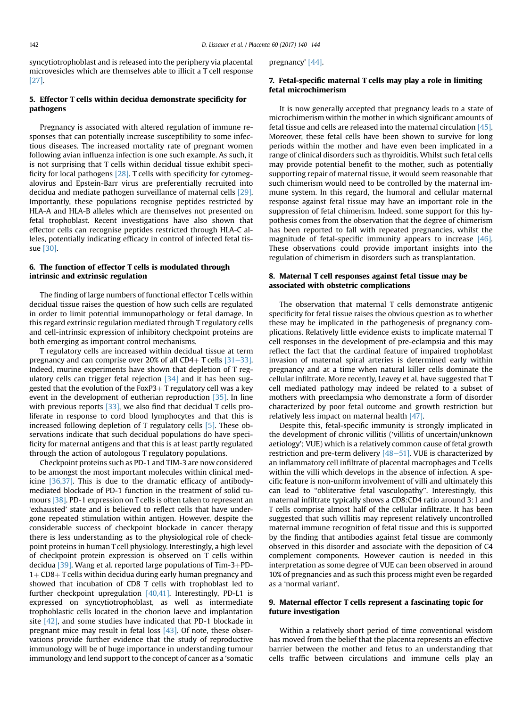syncytiotrophoblast and is released into the periphery via placental microvesicles which are themselves able to illicit a T cell response [\[27\]](#page-4-0).

## 5. Effector T cells within decidua demonstrate specificity for pathogens

Pregnancy is associated with altered regulation of immune responses that can potentially increase susceptibility to some infectious diseases. The increased mortality rate of pregnant women following avian influenza infection is one such example. As such, it is not surprising that T cells within decidual tissue exhibit specificity for local pathogens [\[28\]](#page-4-0). T cells with specificity for cytomegalovirus and Epstein-Barr virus are preferentially recruited into decidua and mediate pathogen surveillance of maternal cells [\[29\].](#page-4-0) Importantly, these populations recognise peptides restricted by HLA-A and HLA-B alleles which are themselves not presented on fetal trophoblast. Recent investigations have also shown that effector cells can recognise peptides restricted through HLA-C alleles, potentially indicating efficacy in control of infected fetal tissue [\[30\]](#page-4-0).

#### 6. The function of effector T cells is modulated through intrinsic and extrinsic regulation

The finding of large numbers of functional effector T cells within decidual tissue raises the question of how such cells are regulated in order to limit potential immunopathology or fetal damage. In this regard extrinsic regulation mediated through T regulatory cells and cell-intrinsic expression of inhibitory checkpoint proteins are both emerging as important control mechanisms.

T regulatory cells are increased within decidual tissue at term pregnancy and can comprise over 20% of all CD4+ T cells  $[31-33]$  $[31-33]$ . Indeed, murine experiments have shown that depletion of T regulatory cells can trigger fetal rejection [\[34\]](#page-4-0) and it has been suggested that the evolution of the FoxP3+ T regulatory cell was a key event in the development of eutherian reproduction [\[35\].](#page-4-0) In line with previous reports [\[33\],](#page-4-0) we also find that decidual T cells proliferate in response to cord blood lymphocytes and that this is increased following depletion of T regulatory cells [\[5\].](#page-3-0) These observations indicate that such decidual populations do have specificity for maternal antigens and that this is at least partly regulated through the action of autologous T regulatory populations.

Checkpoint proteins such as PD-1 and TIM-3 are now considered to be amongst the most important molecules within clinical medicine [\[36,37\].](#page-4-0) This is due to the dramatic efficacy of antibodymediated blockade of PD-1 function in the treatment of solid tumours [\[38\]](#page-4-0). PD-1 expression on T cells is often taken to represent an 'exhausted' state and is believed to reflect cells that have undergone repeated stimulation within antigen. However, despite the considerable success of checkpoint blockade in cancer therapy there is less understanding as to the physiological role of checkpoint proteins in human T cell physiology. Interestingly, a high level of checkpoint protein expression is observed on T cells within decidua  $[39]$ . Wang et al. reported large populations of Tim-3+PD- $1+CD8+T$  cells within decidua during early human pregnancy and showed that incubation of CD8 T cells with trophoblast led to further checkpoint upregulation [\[40,41\].](#page-4-0) Interestingly, PD-L1 is expressed on syncytiotrophoblast, as well as intermediate trophoblastic cells located in the chorion laeve and implantation site  $[42]$ , and some studies have indicated that PD-1 blockade in pregnant mice may result in fetal loss [\[43\]](#page-4-0). Of note, these observations provide further evidence that the study of reproductive immunology will be of huge importance in understanding tumour immunology and lend support to the concept of cancer as a 'somatic pregnancy' [\[44\]](#page-4-0).

## 7. Fetal-specific maternal T cells may play a role in limiting fetal microchimerism

It is now generally accepted that pregnancy leads to a state of microchimerism within the mother in which significant amounts of fetal tissue and cells are released into the maternal circulation [\[45\].](#page-4-0) Moreover, these fetal cells have been shown to survive for long periods within the mother and have even been implicated in a range of clinical disorders such as thyroiditis. Whilst such fetal cells may provide potential benefit to the mother, such as potentially supporting repair of maternal tissue, it would seem reasonable that such chimerism would need to be controlled by the maternal immune system. In this regard, the humoral and cellular maternal response against fetal tissue may have an important role in the suppression of fetal chimerism. Indeed, some support for this hypothesis comes from the observation that the degree of chimerism has been reported to fall with repeated pregnancies, whilst the magnitude of fetal-specific immunity appears to increase [\[46\].](#page-4-0) These observations could provide important insights into the regulation of chimerism in disorders such as transplantation.

## 8. Maternal T cell responses against fetal tissue may be associated with obstetric complications

The observation that maternal T cells demonstrate antigenic specificity for fetal tissue raises the obvious question as to whether these may be implicated in the pathogenesis of pregnancy complications. Relatively little evidence exists to implicate maternal T cell responses in the development of pre-eclampsia and this may reflect the fact that the cardinal feature of impaired trophoblast invasion of maternal spiral arteries is determined early within pregnancy and at a time when natural killer cells dominate the cellular infiltrate. More recently, Leavey et al. have suggested that T cell mediated pathology may indeed be related to a subset of mothers with preeclampsia who demonstrate a form of disorder characterized by poor fetal outcome and growth restriction but relatively less impact on maternal health [\[47\]](#page-4-0).

Despite this, fetal-specific immunity is strongly implicated in the development of chronic villitis ('villitis of uncertain/unknown aetiology'; VUE) which is a relatively common cause of fetal growth restriction and pre-term delivery  $[48-51]$  $[48-51]$ . VUE is characterized by an inflammatory cell infiltrate of placental macrophages and T cells within the villi which develops in the absence of infection. A specific feature is non-uniform involvement of villi and ultimately this can lead to "obliterative fetal vasculopathy". Interestingly, this maternal infiltrate typically shows a CD8:CD4 ratio around 3:1 and T cells comprise almost half of the cellular infiltrate. It has been suggested that such villitis may represent relatively uncontrolled maternal immune recognition of fetal tissue and this is supported by the finding that antibodies against fetal tissue are commonly observed in this disorder and associate with the deposition of C4 complement components. However caution is needed in this interpretation as some degree of VUE can been observed in around 10% of pregnancies and as such this process might even be regarded as a 'normal variant'.

#### 9. Maternal effector T cells represent a fascinating topic for future investigation

Within a relatively short period of time conventional wisdom has moved from the belief that the placenta represents an effective barrier between the mother and fetus to an understanding that cells traffic between circulations and immune cells play an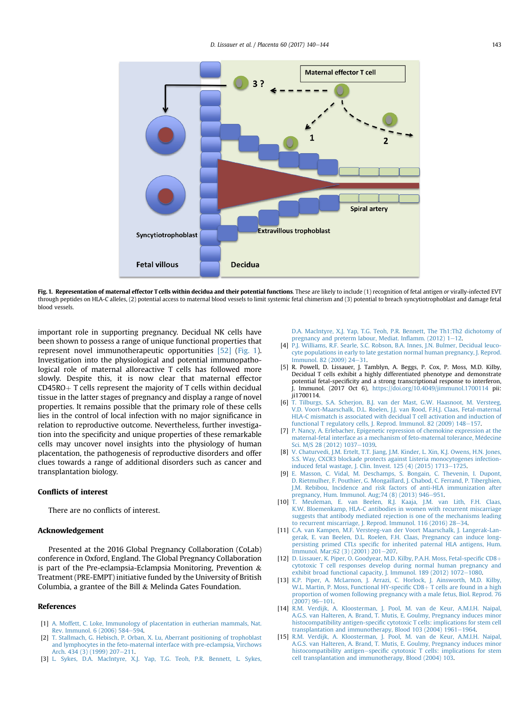<span id="page-3-0"></span>

Fig. 1. Representation of maternal effector T cells within decidua and their potential functions. These are likely to include (1) recognition of fetal antigen or virally-infected EVT through peptides on HLA-C alleles, (2) potential access to maternal blood vessels to limit systemic fetal chimerism and (3) potential to breach syncytiotrophoblast and damage fetal blood vessels.

important role in supporting pregnancy. Decidual NK cells have been shown to possess a range of unique functional properties that represent novel immunotherapeutic opportunities [\[52\]](#page-4-0) (Fig. 1). Investigation into the physiological and potential immunopathological role of maternal alloreactive T cells has followed more slowly. Despite this, it is now clear that maternal effector  $CD45RO + T$  cells represent the majority of T cells within decidual tissue in the latter stages of pregnancy and display a range of novel properties. It remains possible that the primary role of these cells lies in the control of local infection with no major significance in relation to reproductive outcome. Nevertheless, further investigation into the specificity and unique properties of these remarkable cells may uncover novel insights into the physiology of human placentation, the pathogenesis of reproductive disorders and offer clues towards a range of additional disorders such as cancer and transplantation biology.

#### Conflicts of interest

There are no conflicts of interest.

## Acknowledgement

Presented at the 2016 Global Pregnancy Collaboration (CoLab) conference in Oxford, England. The Global Pregnancy Collaboration is part of the Pre-eclampsia-Eclampsia Monitoring, Prevention & Treatment (PRE-EMPT) initiative funded by the University of British Columbia, a grantee of the Bill & Melinda Gates Foundation.

#### References

- [1] [A. Moffett, C. Loke, Immunology of placentation in eutherian mammals, Nat.](http://refhub.elsevier.com/S0143-4004(17)31107-4/sref1) [Rev. Immunol. 6 \(2006\) 584](http://refhub.elsevier.com/S0143-4004(17)31107-4/sref1)-[594.](http://refhub.elsevier.com/S0143-4004(17)31107-4/sref1)
- [2] [T. Stallmach, G. Hebisch, P. Orban, X. Lu, Aberrant positioning of trophoblast](http://refhub.elsevier.com/S0143-4004(17)31107-4/sref2) [and lymphocytes in the feto-maternal interface with pre-eclampsia, Virchows](http://refhub.elsevier.com/S0143-4004(17)31107-4/sref2) [Arch. 434 \(3\) \(1999\) 207](http://refhub.elsevier.com/S0143-4004(17)31107-4/sref2)-[211.](http://refhub.elsevier.com/S0143-4004(17)31107-4/sref2)
- [3] [L. Sykes, D.A. MacIntyre, X.J. Yap, T.G. Teoh, P.R. Bennett, L. Sykes,](http://refhub.elsevier.com/S0143-4004(17)31107-4/sref3)

[D.A. MacIntyre, X.J. Yap, T.G. Teoh, P.R. Bennett, The Th1:Th2 dichotomy of](http://refhub.elsevier.com/S0143-4004(17)31107-4/sref3) [pregnancy and preterm labour, Mediat. In](http://refhub.elsevier.com/S0143-4004(17)31107-4/sref3)flamm.  $(2012)$  1-[12.](http://refhub.elsevier.com/S0143-4004(17)31107-4/sref3)

- [4] [P.J. Williams, R.F. Searle, S.C. Robson, B.A. Innes, J.N. Bulmer, Decidual leuco](http://refhub.elsevier.com/S0143-4004(17)31107-4/sref4)[cyte populations in early to late gestation normal human pregnancy, J. Reprod.](http://refhub.elsevier.com/S0143-4004(17)31107-4/sref4) [Immunol. 82 \(2009\) 24](http://refhub.elsevier.com/S0143-4004(17)31107-4/sref4)-[31](http://refhub.elsevier.com/S0143-4004(17)31107-4/sref4).
- [5] R. Powell, D. Lissauer, J. Tamblyn, A. Beggs, P. Cox, P. Moss, M.D. Kilby, Decidual T cells exhibit a highly differentiated phenotype and demonstrate potential fetal-specificity and a strong transcriptional response to interferon, J. Immunol. (2017 Oct 6), <https://doi.org/10.4049/jimmunol.1700114> pii: ji1700114.
- [6] [T. Tilburgs, S.A. Scherjon, B.J. van der Mast, G.W. Haasnoot, M. Versteeg,](http://refhub.elsevier.com/S0143-4004(17)31107-4/sref6) [V.D. Voort-Maarschalk, D.L. Roelen, J.J. van Rood, F.H.J. Claas, Fetal-maternal](http://refhub.elsevier.com/S0143-4004(17)31107-4/sref6) [HLA-C mismatch is associated with decidual T cell activation and induction of](http://refhub.elsevier.com/S0143-4004(17)31107-4/sref6) [functional T regulatory cells, J. Reprod. Immunol. 82 \(2009\) 148](http://refhub.elsevier.com/S0143-4004(17)31107-4/sref6)-[157](http://refhub.elsevier.com/S0143-4004(17)31107-4/sref6).
- [7] [P. Nancy, A. Erlebacher, Epigenetic repression of chemokine expression at the](http://refhub.elsevier.com/S0143-4004(17)31107-4/sref7) [maternal-fetal interface as a mechanism of feto-maternal tolerance, M](http://refhub.elsevier.com/S0143-4004(17)31107-4/sref7)é[decine](http://refhub.elsevier.com/S0143-4004(17)31107-4/sref7) [Sci. M/S 28 \(2012\) 1037](http://refhub.elsevier.com/S0143-4004(17)31107-4/sref7)-[1039](http://refhub.elsevier.com/S0143-4004(17)31107-4/sref7).
- [8] [V. Chaturvedi, J.M. Ertelt, T.T. Jiang, J.M. Kinder, L. Xin, K.J. Owens, H.N. Jones,](http://refhub.elsevier.com/S0143-4004(17)31107-4/sref8) [S.S. Way, CXCR3 blockade protects against Listeria monocytogenes infection](http://refhub.elsevier.com/S0143-4004(17)31107-4/sref8)[induced fetal wastage, J. Clin. Invest. 125 \(4\) \(2015\) 1713](http://refhub.elsevier.com/S0143-4004(17)31107-4/sref8)-[1725](http://refhub.elsevier.com/S0143-4004(17)31107-4/sref8).
- [9] [E. Masson, C. Vidal, M. Deschamps, S. Bongain, C. Thevenin, I. Dupont,](http://refhub.elsevier.com/S0143-4004(17)31107-4/sref9) [D. Rietmulher, F. Pouthier, G. Mongaillard, J. Chabod, C. Ferrand, P. Tiberghien,](http://refhub.elsevier.com/S0143-4004(17)31107-4/sref9) [J.M. Rebibou, Incidence and risk factors of anti-HLA immunization after](http://refhub.elsevier.com/S0143-4004(17)31107-4/sref9) pregnancy, Hum. Immunol. Aug; 74 (8) (2013) 946–[951.](http://refhub.elsevier.com/S0143-4004(17)31107-4/sref9)
- [10] [T. Meuleman, E. van Beelen, R.J. Kaaja, J.M. van Lith, F.H. Claas,](http://refhub.elsevier.com/S0143-4004(17)31107-4/sref10) [K.W. Bloemenkamp, HLA-C antibodies in women with recurrent miscarriage](http://refhub.elsevier.com/S0143-4004(17)31107-4/sref10) [suggests that antibody mediated rejection is one of the mechanisms leading](http://refhub.elsevier.com/S0143-4004(17)31107-4/sref10) [to recurrent miscarriage, J. Reprod. Immunol. 116 \(2016\) 28](http://refhub.elsevier.com/S0143-4004(17)31107-4/sref10)-[34](http://refhub.elsevier.com/S0143-4004(17)31107-4/sref10).
- [11] [C.A. van Kampen, M.F. Versteeg-van der Voort Maarschalk, J. Langerak-Lan](http://refhub.elsevier.com/S0143-4004(17)31107-4/sref11)[gerak, E. van Beelen, D.L. Roelen, F.H. Claas, Pregnancy can induce long](http://refhub.elsevier.com/S0143-4004(17)31107-4/sref11)persisting primed CTLs specifi[c for inherited paternal HLA antigens, Hum.](http://refhub.elsevier.com/S0143-4004(17)31107-4/sref11) [Immunol. Mar;62 \(3\) \(2001\) 201](http://refhub.elsevier.com/S0143-4004(17)31107-4/sref11)-[207](http://refhub.elsevier.com/S0143-4004(17)31107-4/sref11).
- [12] [D. Lissauer, K. Piper, O. Goodyear, M.D. Kilby, P.A.H. Moss, Fetal-speci](http://refhub.elsevier.com/S0143-4004(17)31107-4/sref12)fic CD8+ [cytotoxic T cell responses develop during normal human pregnancy and](http://refhub.elsevier.com/S0143-4004(17)31107-4/sref12) exhibit broad functional capacity, J. Immunol. 189 (2012)  $1072-1080$ .
- [13] [K.P. Piper, A. McLarnon, J. Arrazi, C. Horlock, J. Ainsworth, M.D. Kilby,](http://refhub.elsevier.com/S0143-4004(17)31107-4/sref13) [W.L. Martin, P. Moss, Functional HY-speci](http://refhub.elsevier.com/S0143-4004(17)31107-4/sref13)fic  $CD8+T$  cells are found in a high [proportion of women following pregnancy with a male fetus, Biol. Reprod. 76](http://refhub.elsevier.com/S0143-4004(17)31107-4/sref13)  $(2007)$  96-[101.](http://refhub.elsevier.com/S0143-4004(17)31107-4/sref13)
- [14] [R.M. Verdijk, A. Kloosterman, J. Pool, M. van de Keur, A.M.I.H. Naipal,](http://refhub.elsevier.com/S0143-4004(17)31107-4/sref14) [A.G.S. van Halteren, A. Brand, T. Mutis, E. Goulmy, Pregnancy induces minor](http://refhub.elsevier.com/S0143-4004(17)31107-4/sref14) histocompatibility antigen-specifi[c cytotoxic T cells: implications for stem cell](http://refhub.elsevier.com/S0143-4004(17)31107-4/sref14) transplantation and immunotherapy, Blood 103 (2004)  $1961-1964$ .
- [15] [R.M. Verdijk, A. Kloosterman, J. Pool, M. van de Keur, A.M.I.H. Naipal,](http://refhub.elsevier.com/S0143-4004(17)31107-4/sref15) [A.G.S. van Halteren, A. Brand, T. Mutis, E. Goulmy, Pregnancy induces minor](http://refhub.elsevier.com/S0143-4004(17)31107-4/sref15) [histocompatibility antigen](http://refhub.elsevier.com/S0143-4004(17)31107-4/sref15)-specifi[c cytotoxic T cells: implications for stem](http://refhub.elsevier.com/S0143-4004(17)31107-4/sref15) [cell transplantation and immunotherapy, Blood \(2004\) 103.](http://refhub.elsevier.com/S0143-4004(17)31107-4/sref15)